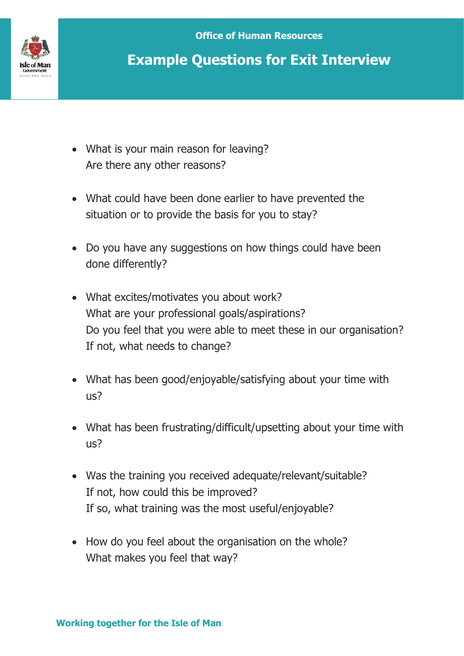

## **Example Questions for Exit Interview**

- What is your main reason for leaving? Are there any other reasons?
- What could have been done earlier to have prevented the situation or to provide the basis for you to stay?
- Do you have any suggestions on how things could have been done differently?
- What excites/motivates you about work? What are your professional goals/aspirations? Do you feel that you were able to meet these in our organisation? If not, what needs to change?
- What has been good/enjoyable/satisfying about your time with us?
- What has been frustrating/difficult/upsetting about your time with us?
- Was the training you received adequate/relevant/suitable? If not, how could this be improved? If so, what training was the most useful/enjoyable?
- How do you feel about the organisation on the whole? What makes you feel that way?